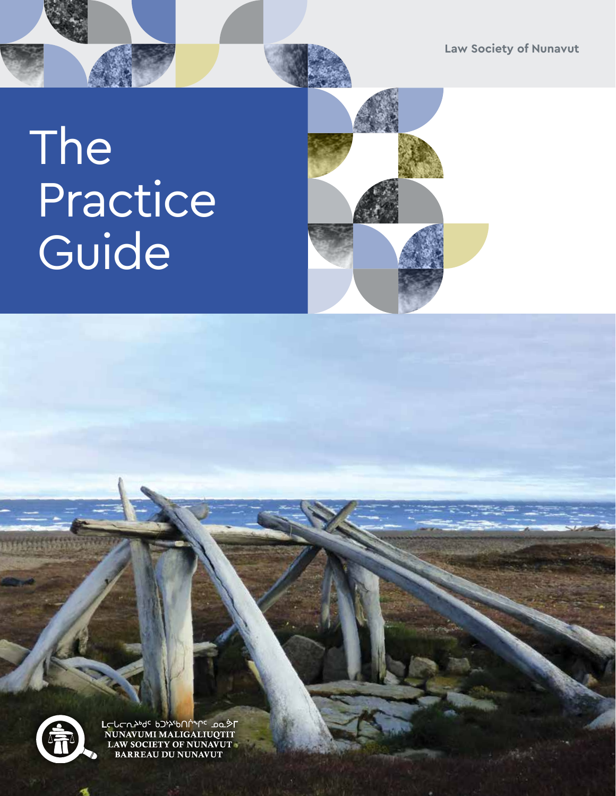**Law Society of Nunavut**

# The Practice Guide





L<del>C</del>LCnAካያና bጋነጓኘ በሰግቦና <sub>ወ</sub>ሷ<br>NUNAVUMI MALIGALIUQTIT LAW SOCIETY OF NUNAVUT . **BARREAU DU NUNAVUT**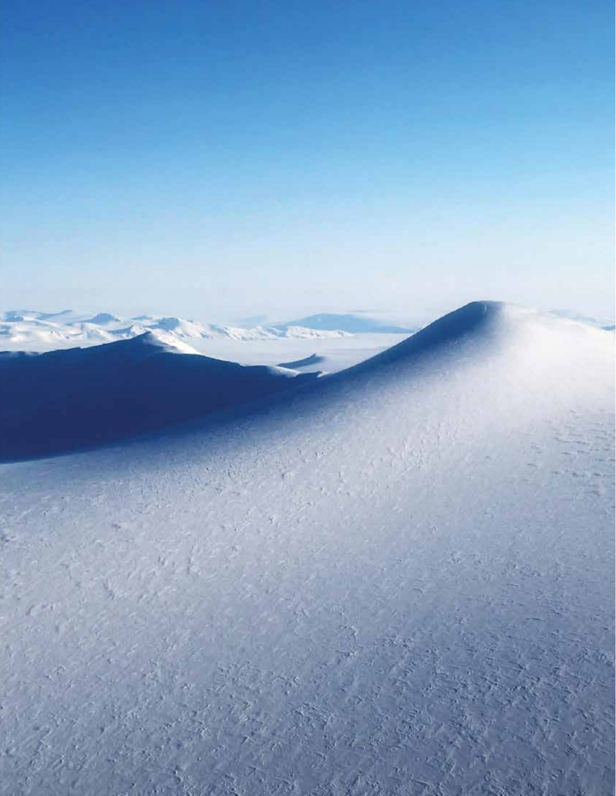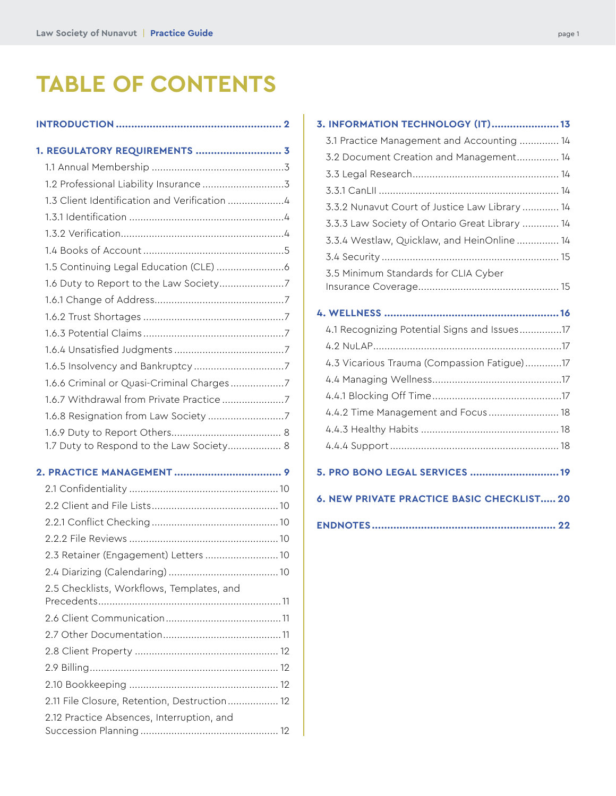### **TABLE OF CONTENTS**

| 1. REGULATORY REQUIREMENTS  3                |  |
|----------------------------------------------|--|
|                                              |  |
|                                              |  |
| 1.3 Client Identification and Verification 4 |  |
|                                              |  |
|                                              |  |
|                                              |  |
|                                              |  |
| 1.6 Duty to Report to the Law Society7       |  |
|                                              |  |
|                                              |  |
|                                              |  |
|                                              |  |
|                                              |  |
| 1.6.6 Criminal or Quasi-Criminal Charges7    |  |
| 1.6.7 Withdrawal from Private Practice 7     |  |
|                                              |  |
|                                              |  |
| 1.7 Duty to Respond to the Law Society 8     |  |
|                                              |  |

### **[2. PRACTICE MANAGEMENT](#page-10-0) ................................... 9**

| 2.3 Retainer (Engagement) Letters  10        |
|----------------------------------------------|
|                                              |
| 2.5 Checklists, Workflows, Templates, and    |
|                                              |
|                                              |
|                                              |
|                                              |
|                                              |
|                                              |
| 2.11 File Closure, Retention, Destruction 12 |
| 2.12 Practice Absences, Interruption, and    |
|                                              |
|                                              |

| 3. INFORMATION TECHNOLOGY (IT) 13              |  |
|------------------------------------------------|--|
| 3.1 Practice Management and Accounting  14     |  |
| 3.2 Document Creation and Management 14        |  |
|                                                |  |
|                                                |  |
| 3.3.2 Nunavut Court of Justice Law Library  14 |  |
| 3.3.3 Law Society of Ontario Great Library  14 |  |
| 3.3.4 Westlaw, Quicklaw, and HeinOnline  14    |  |
|                                                |  |
| 3.5 Minimum Standards for CLIA Cyber           |  |
|                                                |  |
|                                                |  |
| 4.1 Recognizing Potential Signs and Issues17   |  |
|                                                |  |
| 4.3 Vicarious Trauma (Compassion Fatigue)17    |  |
|                                                |  |
|                                                |  |
| 4.4.2 Time Management and Focus 18             |  |
|                                                |  |
|                                                |  |
|                                                |  |
| 5. PRO BONO LEGAL SERVICES 19                  |  |
| 6. NEW PRIVATE PRACTICE BASIC CHECKLIST 20     |  |
|                                                |  |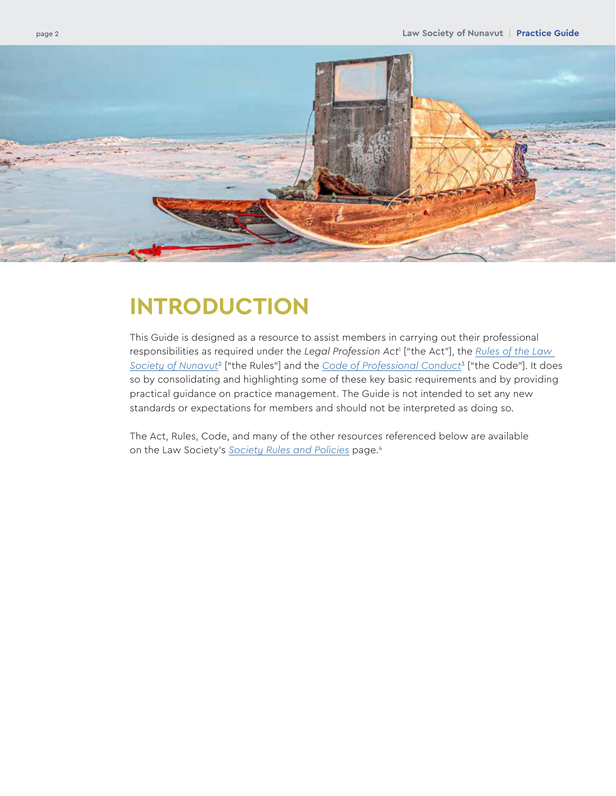<span id="page-3-0"></span>

### **INTRODUCTION**

This Guide is designed as a resource to assist members in carrying out their professional responsibilities as required under the *Legal Profession Act*<sup>1</sup> ["the Act"], the *[Rules of the Law](https://www.lawsociety.nu.ca/sites/default/files/website-general/LSN%20Consolidated%20Rules%20June%2024%5EJ%202021.pdf)  [Society of Nunavut](https://www.lawsociety.nu.ca/sites/default/files/website-general/LSN%20Consolidated%20Rules%20June%2024%5EJ%202021.pdf)*<sup>2</sup> ["the Rules"] and the *[Code of Professional Conduct](https://www.lawsociety.nu.ca/sites/default/files/NU%20Model%20Code%20of%20Conduct%20%20FINAL%20May%202016%20adopted%20Nov%207%202016.pdf)*<sup>3</sup> ["the Code"]. It does so by consolidating and highlighting some of these key basic requirements and by providing practical guidance on practice management. The Guide is not intended to set any new standards or expectations for members and should not be interpreted as doing so.

The Act, Rules, Code, and many of the other resources referenced below are available on the Law Society's *[Society Rules and Policies](https://www.lawsociety.nu.ca/en/society-rules-and-policies)* page.4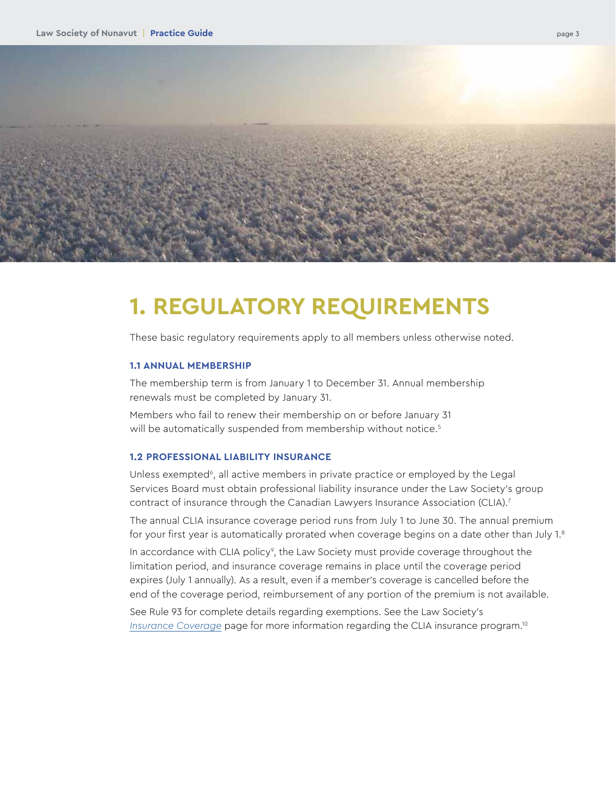<span id="page-4-0"></span>

### **1. REGULATORY REQUIREMENTS**

These basic regulatory requirements apply to all members unless otherwise noted.

#### **1.1 ANNUAL MEMBERSHIP**

The membership term is from January 1 to December 31. Annual membership renewals must be completed by January 31.

Members who fail to renew their membership on or before January 31 will be automatically suspended from membership without notice.<sup>5</sup>

#### **1.2 PROFESSIONAL LIABILITY INSURANCE**

Unless exempted<sup>6</sup>, all active members in private practice or employed by the Legal Services Board must obtain professional liability insurance under the Law Society's group contract of insurance through the Canadian Lawyers Insurance Association (CLIA).<sup>7</sup>

The annual CLIA insurance coverage period runs from July 1 to June 30. The annual premium for your first year is automatically prorated when coverage begins on a date other than July 1.<sup>8</sup>

In accordance with CLIA policy<sup>9</sup>, the Law Society must provide coverage throughout the limitation period, and insurance coverage remains in place until the coverage period expires (July 1 annually). As a result, even if a member's coverage is cancelled before the end of the coverage period, reimbursement of any portion of the premium is not available.

See Rule 93 for complete details regarding exemptions. See the Law Society's *[Insurance Coverage](https://www.lawsociety.nu.ca/en/insurance-coverage)* page for more information regarding the CLIA insurance program.10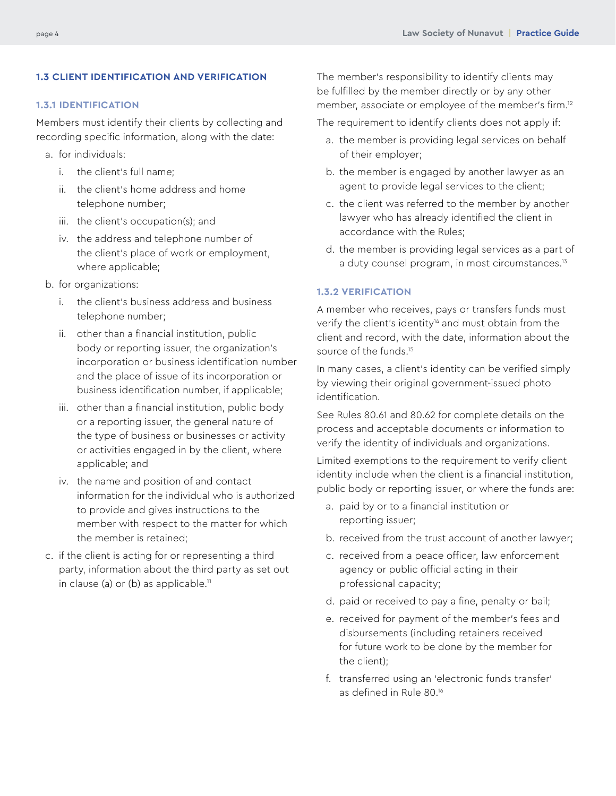#### <span id="page-5-0"></span>**1.3 CLIENT IDENTIFICATION AND VERIFICATION**

#### **1.3.1 IDENTIFICATION**

Members must identify their clients by collecting and recording specific information, along with the date:

- a. for individuals:
	- i. the client's full name;
	- ii. the client's home address and home telephone number;
	- iii. the client's occupation(s); and
	- iv. the address and telephone number of the client's place of work or employment, where applicable;
- b. for organizations:
	- i. the client's business address and business telephone number;
	- ii. other than a financial institution, public body or reporting issuer, the organization's incorporation or business identification number and the place of issue of its incorporation or business identification number, if applicable;
	- iii. other than a financial institution, public body or a reporting issuer, the general nature of the type of business or businesses or activity or activities engaged in by the client, where applicable; and
	- iv. the name and position of and contact information for the individual who is authorized to provide and gives instructions to the member with respect to the matter for which the member is retained;
- c. if the client is acting for or representing a third party, information about the third party as set out in clause (a) or (b) as applicable.<sup>11</sup>

The member's responsibility to identify clients may be fulfilled by the member directly or by any other member, associate or employee of the member's firm.<sup>12</sup>

The requirement to identify clients does not apply if:

- a. the member is providing legal services on behalf of their employer;
- b. the member is engaged by another lawyer as an agent to provide legal services to the client;
- c. the client was referred to the member by another lawyer who has already identified the client in accordance with the Rules;
- d. the member is providing legal services as a part of a duty counsel program, in most circumstances.<sup>13</sup>

#### **1.3.2 VERIFICATION**

A member who receives, pays or transfers funds must verify the client's identity<sup>14</sup> and must obtain from the client and record, with the date, information about the source of the funds.<sup>15</sup>

In many cases, a client's identity can be verified simply by viewing their original government-issued photo identification.

See Rules 80.61 and 80.62 for complete details on the process and acceptable documents or information to verify the identity of individuals and organizations.

Limited exemptions to the requirement to verify client identity include when the client is a financial institution, public body or reporting issuer, or where the funds are:

- a. paid by or to a financial institution or reporting issuer;
- b. received from the trust account of another lawyer;
- c. received from a peace officer, law enforcement agency or public official acting in their professional capacity;
- d. paid or received to pay a fine, penalty or bail;
- e. received for payment of the member's fees and disbursements (including retainers received for future work to be done by the member for the client);
- f. transferred using an 'electronic funds transfer' as defined in Rule 80.16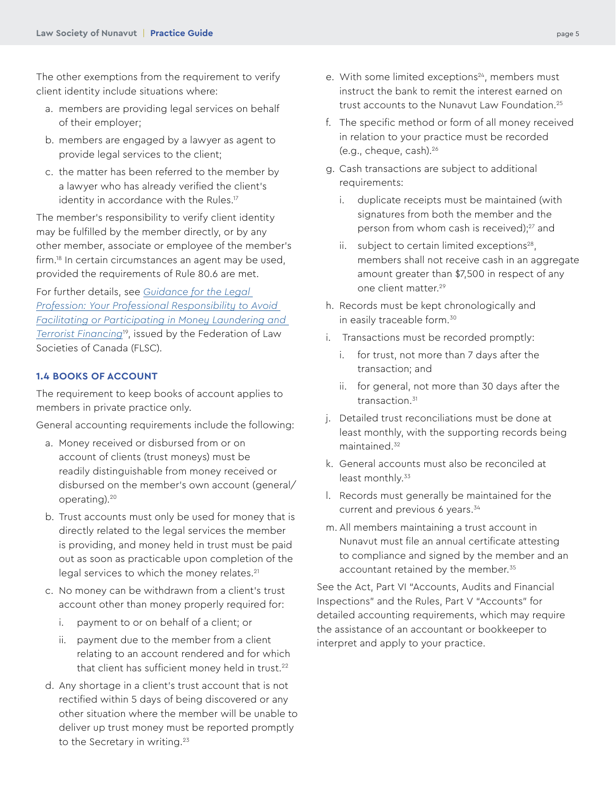<span id="page-6-0"></span>The other exemptions from the requirement to verify client identity include situations where:

- a. members are providing legal services on behalf of their employer;
- b. members are engaged by a lawyer as agent to provide legal services to the client;
- c. the matter has been referred to the member by a lawyer who has already verified the client's identity in accordance with the Rules. $17$

The member's responsibility to verify client identity may be fulfilled by the member directly, or by any other member, associate or employee of the member's firm.<sup>18</sup> In certain circumstances an agent may be used, provided the requirements of Rule 80.6 are met.

For further details, see *[Guidance for the Legal](https://www.lawsociety.nu.ca/sites/default/files/public/Society%20Rules/Guidance-Legal-Profession-REV-Feb-2019.pdf)  [Profession: Your Professional Responsibility to Avoid](https://www.lawsociety.nu.ca/sites/default/files/public/Society%20Rules/Guidance-Legal-Profession-REV-Feb-2019.pdf)  [Facilitating or Participating in Money Laundering and](https://www.lawsociety.nu.ca/sites/default/files/public/Society%20Rules/Guidance-Legal-Profession-REV-Feb-2019.pdf)  [Terrorist Financing](https://www.lawsociety.nu.ca/sites/default/files/public/Society%20Rules/Guidance-Legal-Profession-REV-Feb-2019.pdf)*19, issued by the Federation of Law Societies of Canada (FLSC).

#### **1.4 BOOKS OF ACCOUNT**

The requirement to keep books of account applies to members in private practice only.

General accounting requirements include the following:

- a. Money received or disbursed from or on account of clients (trust moneys) must be readily distinguishable from money received or disbursed on the member's own account (general/ operating).20
- b. Trust accounts must only be used for money that is directly related to the legal services the member is providing, and money held in trust must be paid out as soon as practicable upon completion of the legal services to which the money relates.<sup>21</sup>
- c. No money can be withdrawn from a client's trust account other than money properly required for:
	- i. payment to or on behalf of a client; or
	- ii. payment due to the member from a client relating to an account rendered and for which that client has sufficient money held in trust.<sup>22</sup>
- d. Any shortage in a client's trust account that is not rectified within 5 days of being discovered or any other situation where the member will be unable to deliver up trust money must be reported promptly to the Secretary in writing.<sup>23</sup>
- e. With some limited exceptions<sup>24</sup>, members must instruct the bank to remit the interest earned on trust accounts to the Nunavut Law Foundation.25
- f. The specific method or form of all money received in relation to your practice must be recorded (e.g., cheque, cash).26
- g. Cash transactions are subject to additional requirements:
	- i. duplicate receipts must be maintained (with signatures from both the member and the person from whom cash is received);<sup>27</sup> and
	- ii. subject to certain limited exceptions $28$ , members shall not receive cash in an aggregate amount greater than \$7,500 in respect of any one client matter.29
- h. Records must be kept chronologically and in easily traceable form.<sup>30</sup>
- i. Transactions must be recorded promptly:
	- i. for trust, not more than 7 days after the transaction; and
	- ii. for general, not more than 30 days after the transaction.<sup>31</sup>
- j. Detailed trust reconciliations must be done at least monthly, with the supporting records being maintained.<sup>32</sup>
- k. General accounts must also be reconciled at least monthly.<sup>33</sup>
- l. Records must generally be maintained for the current and previous  $6$  years.<sup>34</sup>
- m. All members maintaining a trust account in Nunavut must file an annual certificate attesting to compliance and signed by the member and an accountant retained by the member.<sup>35</sup>

See the Act, Part VI "Accounts, Audits and Financial Inspections" and the Rules, Part V "Accounts" for detailed accounting requirements, which may require the assistance of an accountant or bookkeeper to interpret and apply to your practice.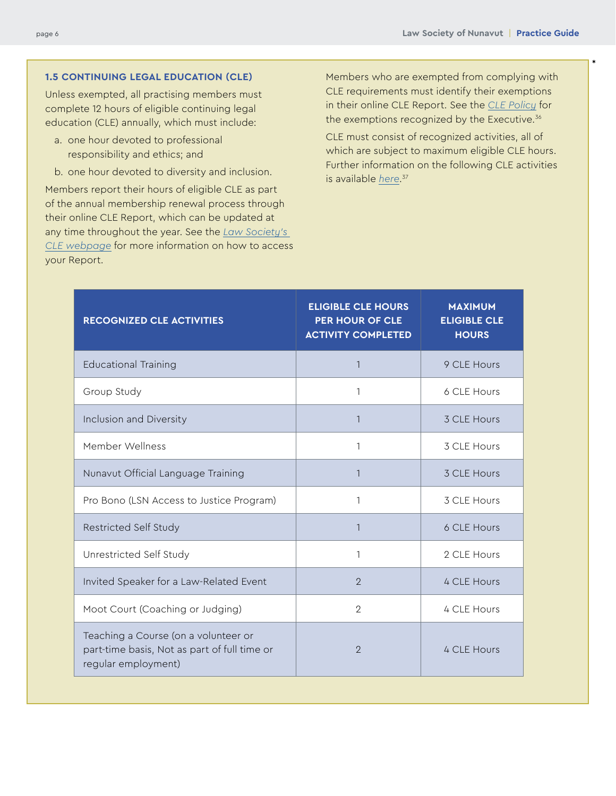\*

#### <span id="page-7-0"></span>**1.5 CONTINUING LEGAL EDUCATION (CLE)**

Unless exempted, all practising members must complete 12 hours of eligible continuing legal education (CLE) annually, which must include:

- a. one hour devoted to professional responsibility and ethics; and
- b. one hour devoted to diversity and inclusion.

Members report their hours of eligible CLE as part of the annual membership renewal process through their online CLE Report, which can be updated at any time throughout the year. See the *[Law Society's](https://www.lawsociety.nu.ca/en/lawyers/compulsory-professional-development)  [CLE webpage](https://www.lawsociety.nu.ca/en/lawyers/compulsory-professional-development)* for more information on how to access your Report.

Members who are exempted from complying with CLE requirements must identify their exemptions in their online CLE Report. See the *[CLE Policy](https://www.lawsociety.nu.ca/sites/default/files/CPD%20LSN%20POLICY_%20web%20Dec%202019_0.pdf)* for the exemptions recognized by the Executive.<sup>36</sup>

CLE must consist of recognized activities, all of which are subject to maximum eligible CLE hours. Further information on the following CLE activities is available *[here](https://www.lawsociety.nu.ca/sites/default/files/website-general/CPD_-Description-of-Activities_Jan-2013.pdf)*. 37

| <b>RECOGNIZED CLE ACTIVITIES</b>                                                                            | <b>ELIGIBLE CLE HOURS</b><br><b>PER HOUR OF CLE</b><br><b>ACTIVITY COMPLETED</b> | <b>MAXIMUM</b><br><b>ELIGIBLE CLE</b><br><b>HOURS</b> |
|-------------------------------------------------------------------------------------------------------------|----------------------------------------------------------------------------------|-------------------------------------------------------|
| <b>Educational Training</b>                                                                                 | 1                                                                                | 9 CLE Hours                                           |
| Group Study                                                                                                 | $\mathbf{1}$                                                                     | 6 CLE Hours                                           |
| Inclusion and Diversity                                                                                     | $\mathbf{1}$                                                                     | 3 CLF Hours                                           |
| Member Wellness                                                                                             | 1                                                                                | 3 CLE Hours                                           |
| Nunavut Official Language Training                                                                          | $\mathbf{1}$                                                                     | 3 CLE Hours                                           |
| Pro Bono (LSN Access to Justice Program)                                                                    | 1                                                                                | 3 CLE Hours                                           |
| Restricted Self Study                                                                                       | $\mathbf{1}$                                                                     | 6 CLE Hours                                           |
| Unrestricted Self Study                                                                                     | 1                                                                                | 2 CLE Hours                                           |
| Invited Speaker for a Law-Related Event                                                                     | $\overline{2}$                                                                   | 4 CLE Hours                                           |
| Moot Court (Coaching or Judging)                                                                            | $\overline{2}$                                                                   | 4 CLE Hours                                           |
| Teaching a Course (on a volunteer or<br>part-time basis, Not as part of full time or<br>regular employment) | $\overline{2}$                                                                   | <b>4 CLE Hours</b>                                    |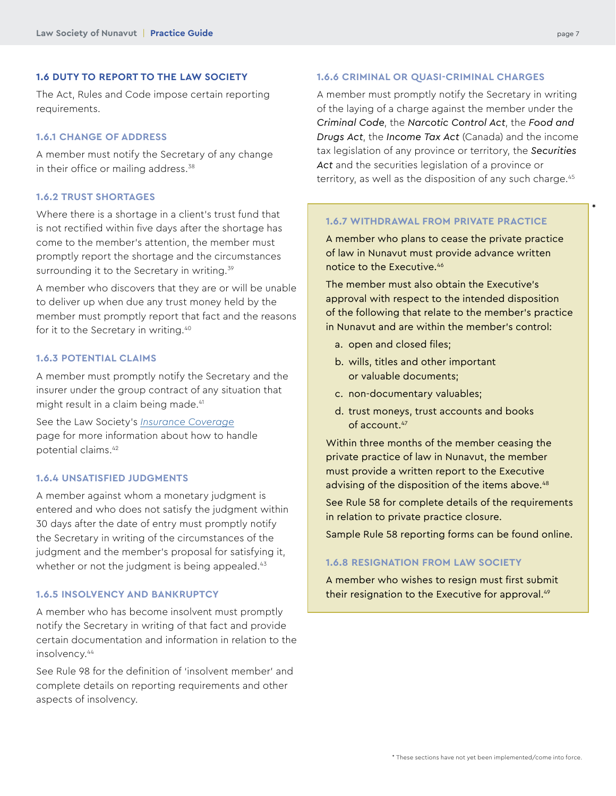#### <span id="page-8-0"></span>**1.6 DUTY TO REPORT TO THE LAW SOCIETY**

The Act, Rules and Code impose certain reporting requirements.

#### **1.6.1 CHANGE OF ADDRESS**

A member must notify the Secretary of any change in their office or mailing address.<sup>38</sup>

#### **1.6.2 TRUST SHORTAGES**

Where there is a shortage in a client's trust fund that is not rectified within five days after the shortage has come to the member's attention, the member must promptly report the shortage and the circumstances surrounding it to the Secretary in writing.<sup>39</sup>

A member who discovers that they are or will be unable to deliver up when due any trust money held by the member must promptly report that fact and the reasons for it to the Secretary in writing.<sup>40</sup>

#### **1.6.3 POTENTIAL CLAIMS**

A member must promptly notify the Secretary and the insurer under the group contract of any situation that might result in a claim being made.<sup>41</sup>

See the Law Society's *[Insurance Coverage](https://www.lawsociety.nu.ca/en/insurance-coverage)* page for more information about how to handle potential claims.42

#### **1.6.4 UNSATISFIED JUDGMENTS**

A member against whom a monetary judgment is entered and who does not satisfy the judgment within 30 days after the date of entry must promptly notify the Secretary in writing of the circumstances of the judgment and the member's proposal for satisfying it, whether or not the judgment is being appealed.<sup>43</sup>

#### **1.6.5 INSOLVENCY AND BANKRUPTCY**

A member who has become insolvent must promptly notify the Secretary in writing of that fact and provide certain documentation and information in relation to the insolvency.<sup>44</sup>

See Rule 98 for the definition of 'insolvent member' and complete details on reporting requirements and other aspects of insolvency.

#### **1.6.6 CRIMINAL OR QUASI-CRIMINAL CHARGES**

A member must promptly notify the Secretary in writing of the laying of a charge against the member under the *Criminal Code*, the *Narcotic Control Act*, the *Food and Drugs Act*, the *Income Tax Act* (Canada) and the income tax legislation of any province or territory, the *Securities Act* and the securities legislation of a province or territory, as well as the disposition of any such charge.<sup>45</sup>

#### **1.6.7 WITHDRAWAL FROM PRIVATE PRACTICE**

A member who plans to cease the private practice of law in Nunavut must provide advance written notice to the Executive.46

The member must also obtain the Executive's approval with respect to the intended disposition of the following that relate to the member's practice in Nunavut and are within the member's control:

- a. open and closed files;
- b. wills, titles and other important or valuable documents;
- c. non-documentary valuables;
- d. trust moneys, trust accounts and books of account.47

Within three months of the member ceasing the private practice of law in Nunavut, the member must provide a written report to the Executive advising of the disposition of the items above.<sup>48</sup>

See Rule 58 for complete details of the requirements in relation to private practice closure.

Sample Rule 58 reporting forms can be found online.

#### **1.6.8 RESIGNATION FROM LAW SOCIETY**

A member who wishes to resign must first submit their resignation to the Executive for approval.<sup>49</sup>

\*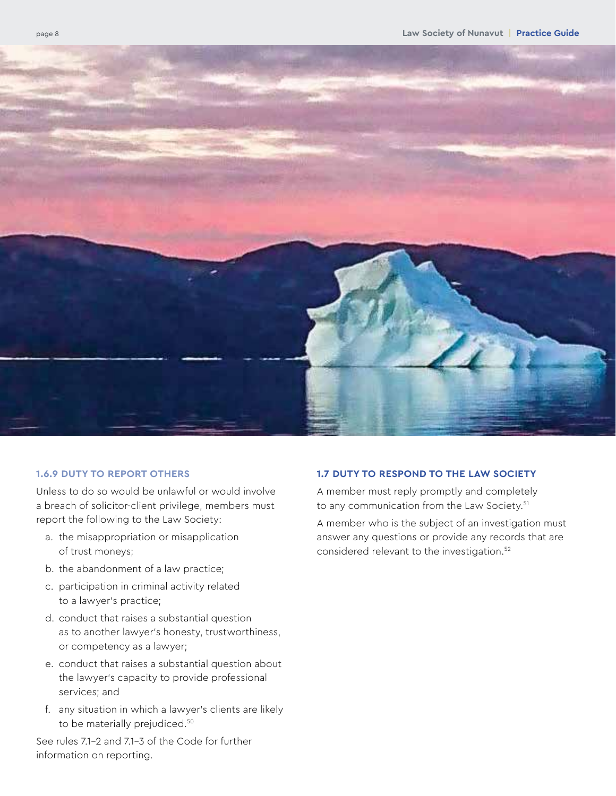<span id="page-9-0"></span>

#### **1.6.9 DUTY TO REPORT OTHERS**

Unless to do so would be unlawful or would involve a breach of solicitor-client privilege, members must report the following to the Law Society:

- a. the misappropriation or misapplication of trust moneys;
- b. the abandonment of a law practice;
- c. participation in criminal activity related to a lawyer's practice;
- d. conduct that raises a substantial question as to another lawyer's honesty, trustworthiness, or competency as a lawyer;
- e. conduct that raises a substantial question about the lawyer's capacity to provide professional services; and
- f. any situation in which a lawyer's clients are likely to be materially prejudiced.<sup>50</sup>

See rules 7.1-2 and 7.1-3 of the Code for further information on reporting.

#### **1.7 DUTY TO RESPOND TO THE LAW SOCIETY**

A member must reply promptly and completely to any communication from the Law Society.<sup>51</sup>

A member who is the subject of an investigation must answer any questions or provide any records that are considered relevant to the investigation.52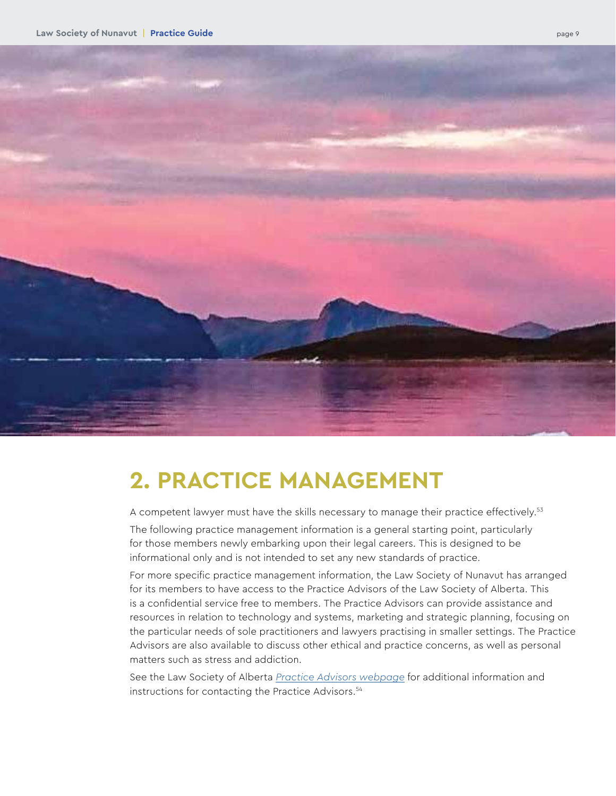<span id="page-10-0"></span>

### **2. PRACTICE MANAGEMENT**

A competent lawyer must have the skills necessary to manage their practice effectively.<sup>53</sup> The following practice management information is a general starting point, particularly for those members newly embarking upon their legal careers. This is designed to be informational only and is not intended to set any new standards of practice.

For more specific practice management information, the Law Society of Nunavut has arranged for its members to have access to the Practice Advisors of the Law Society of Alberta. This is a confidential service free to members. The Practice Advisors can provide assistance and resources in relation to technology and systems, marketing and strategic planning, focusing on the particular needs of sole practitioners and lawyers practising in smaller settings. The Practice Advisors are also available to discuss other ethical and practice concerns, as well as personal matters such as stress and addiction.

See the Law Society of Alberta *[Practice Advisors webpage](https://www.lawsociety.ab.ca/lawyers-and-students/practice-advisors/)* for additional information and instructions for contacting the Practice Advisors.<sup>54</sup>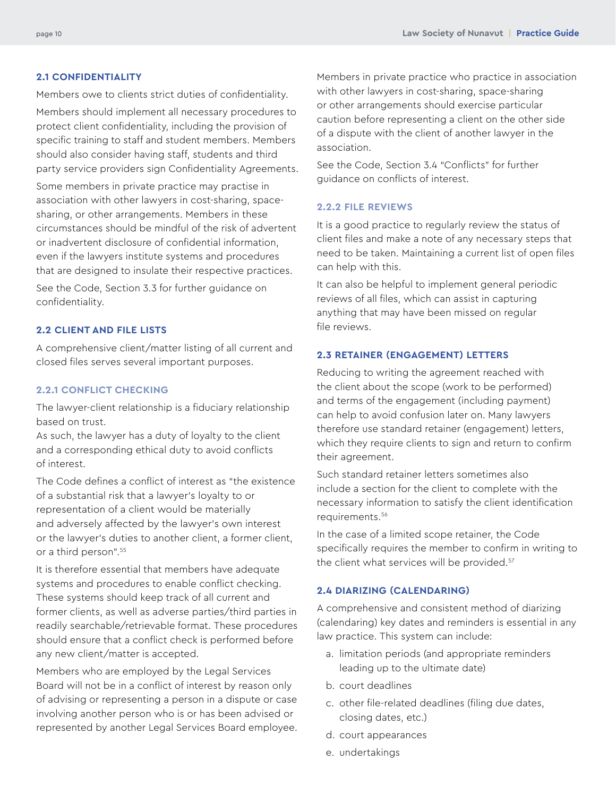#### <span id="page-11-0"></span>**2.1 CONFIDENTIALITY**

Members owe to clients strict duties of confidentiality.

Members should implement all necessary procedures to protect client confidentiality, including the provision of specific training to staff and student members. Members should also consider having staff, students and third party service providers sign Confidentiality Agreements.

Some members in private practice may practise in association with other lawyers in cost-sharing, spacesharing, or other arrangements. Members in these circumstances should be mindful of the risk of advertent or inadvertent disclosure of confidential information, even if the lawyers institute systems and procedures that are designed to insulate their respective practices.

See the Code, Section 3.3 for further guidance on confidentiality.

#### **2.2 CLIENT AND FILE LISTS**

A comprehensive client/matter listing of all current and closed files serves several important purposes.

#### **2.2.1 CONFLICT CHECKING**

The lawyer-client relationship is a fiduciary relationship based on trust.

As such, the lawyer has a duty of loyalty to the client and a corresponding ethical duty to avoid conflicts of interest.

The Code defines a conflict of interest as "the existence of a substantial risk that a lawyer's loyalty to or representation of a client would be materially and adversely affected by the lawyer's own interest or the lawyer's duties to another client, a former client, or a third person".55

It is therefore essential that members have adequate systems and procedures to enable conflict checking. These systems should keep track of all current and former clients, as well as adverse parties/third parties in readily searchable/retrievable format. These procedures should ensure that a conflict check is performed before any new client/matter is accepted.

Members who are employed by the Legal Services Board will not be in a conflict of interest by reason only of advising or representing a person in a dispute or case involving another person who is or has been advised or represented by another Legal Services Board employee. Members in private practice who practice in association with other lawyers in cost-sharing, space-sharing or other arrangements should exercise particular caution before representing a client on the other side of a dispute with the client of another lawyer in the association.

See the Code, Section 3.4 "Conflicts" for further guidance on conflicts of interest.

#### **2.2.2 FILE REVIEWS**

It is a good practice to regularly review the status of client files and make a note of any necessary steps that need to be taken. Maintaining a current list of open files can help with this.

It can also be helpful to implement general periodic reviews of all files, which can assist in capturing anything that may have been missed on regular file reviews.

#### **2.3 RETAINER (ENGAGEMENT) LETTERS**

Reducing to writing the agreement reached with the client about the scope (work to be performed) and terms of the engagement (including payment) can help to avoid confusion later on. Many lawyers therefore use standard retainer (engagement) letters, which they require clients to sign and return to confirm their agreement.

Such standard retainer letters sometimes also include a section for the client to complete with the necessary information to satisfy the client identification requirements.56

In the case of a limited scope retainer, the Code specifically requires the member to confirm in writing to the client what services will be provided.<sup>57</sup>

#### **2.4 DIARIZING (CALENDARING)**

A comprehensive and consistent method of diarizing (calendaring) key dates and reminders is essential in any law practice. This system can include:

- a. limitation periods (and appropriate reminders leading up to the ultimate date)
- b. court deadlines
- c. other file-related deadlines (filing due dates, closing dates, etc.)
- d. court appearances
- e. undertakings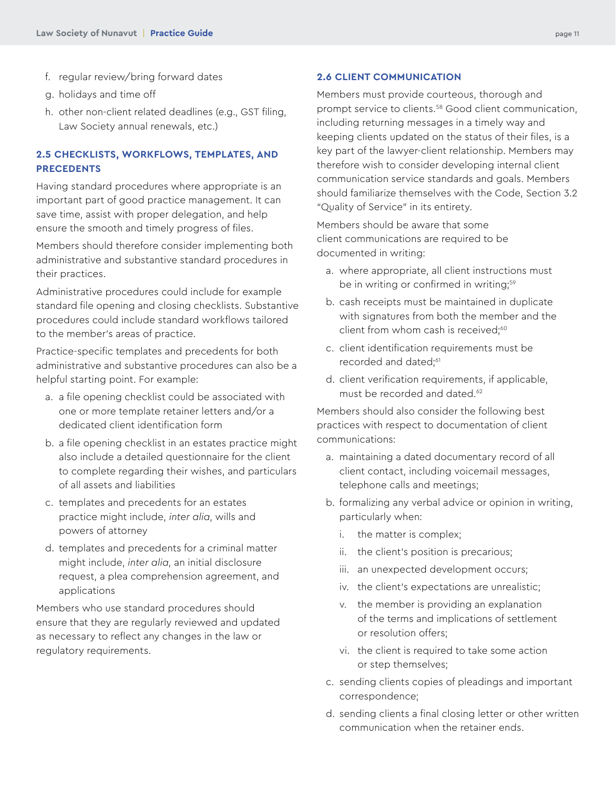- <span id="page-12-0"></span>f. regular review/bring forward dates
- g. holidays and time off
- h. other non-client related deadlines (e.g., GST filing, Law Society annual renewals, etc.)

#### **2.5 CHECKLISTS, WORKFLOWS, TEMPLATES, AND PRECEDENTS**

Having standard procedures where appropriate is an important part of good practice management. It can save time, assist with proper delegation, and help ensure the smooth and timely progress of files.

Members should therefore consider implementing both administrative and substantive standard procedures in their practices.

Administrative procedures could include for example standard file opening and closing checklists. Substantive procedures could include standard workflows tailored to the member's areas of practice.

Practice-specific templates and precedents for both administrative and substantive procedures can also be a helpful starting point. For example:

- a. a file opening checklist could be associated with one or more template retainer letters and/or a dedicated client identification form
- b. a file opening checklist in an estates practice might also include a detailed questionnaire for the client to complete regarding their wishes, and particulars of all assets and liabilities
- c. templates and precedents for an estates practice might include, *inter alia*, wills and powers of attorney
- d. templates and precedents for a criminal matter might include, *inter alia*, an initial disclosure request, a plea comprehension agreement, and applications

Members who use standard procedures should ensure that they are regularly reviewed and updated as necessary to reflect any changes in the law or regulatory requirements.

#### **2.6 CLIENT COMMUNICATION**

Members must provide courteous, thorough and prompt service to clients.58 Good client communication, including returning messages in a timely way and keeping clients updated on the status of their files, is a key part of the lawyer-client relationship. Members may therefore wish to consider developing internal client communication service standards and goals. Members should familiarize themselves with the Code, Section 3.2 "Quality of Service" in its entirety.

Members should be aware that some client communications are required to be documented in writing:

- a. where appropriate, all client instructions must be in writing or confirmed in writing;<sup>59</sup>
- b. cash receipts must be maintained in duplicate with signatures from both the member and the client from whom cash is received;<sup>60</sup>
- c. client identification requirements must be recorded and dated;<sup>61</sup>
- d. client verification requirements, if applicable, must be recorded and dated.<sup>62</sup>

Members should also consider the following best practices with respect to documentation of client communications:

- a. maintaining a dated documentary record of all client contact, including voicemail messages, telephone calls and meetings;
- b. formalizing any verbal advice or opinion in writing, particularly when:
	- i. the matter is complex;
	- ii. the client's position is precarious;
	- iii. an unexpected development occurs;
	- iv. the client's expectations are unrealistic;
	- v. the member is providing an explanation of the terms and implications of settlement or resolution offers;
	- vi. the client is required to take some action or step themselves;
- c. sending clients copies of pleadings and important correspondence;
- d. sending clients a final closing letter or other written communication when the retainer ends.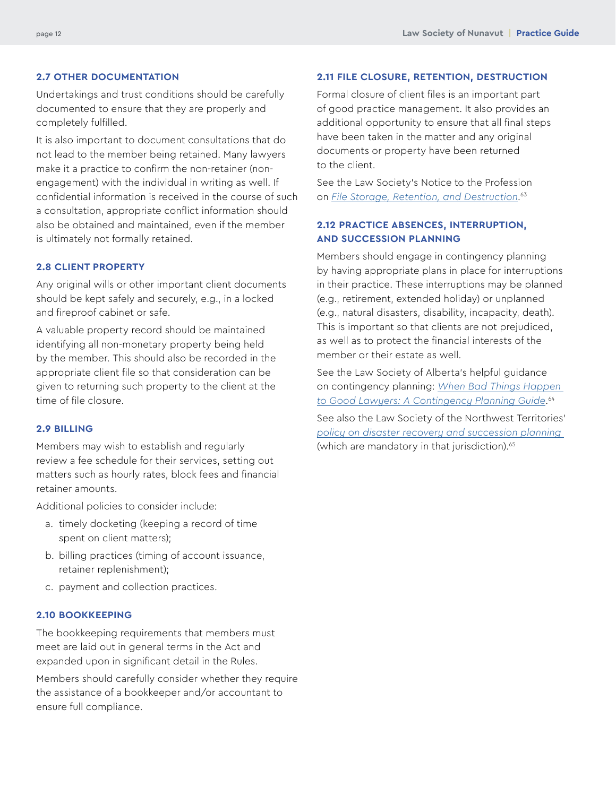<span id="page-13-0"></span>Undertakings and trust conditions should be carefully documented to ensure that they are properly and completely fulfilled.

It is also important to document consultations that do not lead to the member being retained. Many lawyers make it a practice to confirm the non-retainer (nonengagement) with the individual in writing as well. If confidential information is received in the course of such a consultation, appropriate conflict information should also be obtained and maintained, even if the member is ultimately not formally retained.

#### **2.8 CLIENT PROPERTY**

Any original wills or other important client documents should be kept safely and securely, e.g., in a locked and fireproof cabinet or safe.

A valuable property record should be maintained identifying all non-monetary property being held by the member. This should also be recorded in the appropriate client file so that consideration can be given to returning such property to the client at the time of file closure.

#### **2.9 BILLING**

Members may wish to establish and regularly review a fee schedule for their services, setting out matters such as hourly rates, block fees and financial retainer amounts.

Additional policies to consider include:

- a. timely docketing (keeping a record of time spent on client matters);
- b. billing practices (timing of account issuance, retainer replenishment);
- c. payment and collection practices.

#### **2.10 BOOKKEEPING**

The bookkeeping requirements that members must meet are laid out in general terms in the Act and expanded upon in significant detail in the Rules.

Members should carefully consider whether they require the assistance of a bookkeeper and/or accountant to ensure full compliance.

#### **2.11 FILE CLOSURE, RETENTION, DESTRUCTION**

Formal closure of client files is an important part of good practice management. It also provides an additional opportunity to ensure that all final steps have been taken in the matter and any original documents or property have been returned to the client.

See the Law Society's Notice to the Profession on *[File Storage, Retention, and Destruction](https://www.lawsociety.nu.ca/sites/default/files/News/Public%20Notices/LSN%20Notice%20(Practice)%20File%20Retention%20and%20Destruction%20Oct%202021.pdf)*. 63

#### **2.12 PRACTICE ABSENCES, INTERRUPTION, AND SUCCESSION PLANNING**

Members should engage in contingency planning by having appropriate plans in place for interruptions in their practice. These interruptions may be planned (e.g., retirement, extended holiday) or unplanned (e.g., natural disasters, disability, incapacity, death). This is important so that clients are not prejudiced, as well as to protect the financial interests of the member or their estate as well.

See the Law Society of Alberta's helpful guidance on contingency planning: *[When Bad Things Happen](https://dvbat5idxh7ib.cloudfront.net/wp-content/uploads/2017/01/22203930/When-Bad-Things-Happen-to-Good-Lawyers.pdf)  [to Good Lawyers: A Contingency Planning Guide](https://dvbat5idxh7ib.cloudfront.net/wp-content/uploads/2017/01/22203930/When-Bad-Things-Happen-to-Good-Lawyers.pdf)*. 64

See also the Law Society of the Northwest Territories' *[policy on disaster recovery and succession planning](https://www.lawsociety.nt.ca/sites/default/files/Succession%20and%20Disaster%20Relief%20Policy.pdf)*  (which are mandatory in that jurisdiction).<sup>65</sup>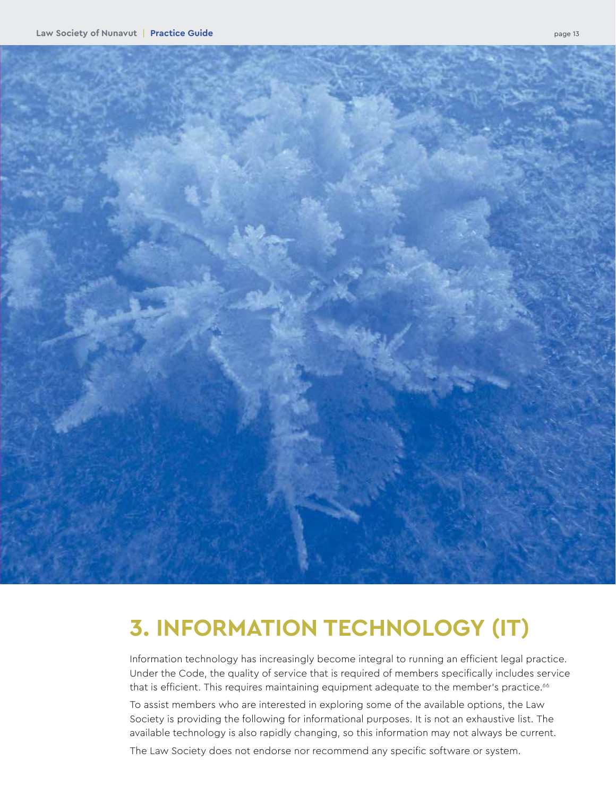

<span id="page-14-0"></span>

### **3. INFORMATION TECHNOLOGY (IT)**

Information technology has increasingly become integral to running an efficient legal practice. Under the Code, the quality of service that is required of members specifically includes service that is efficient. This requires maintaining equipment adequate to the member's practice.<sup>66</sup>

To assist members who are interested in exploring some of the available options, the Law Society is providing the following for informational purposes. It is not an exhaustive list. The available technology is also rapidly changing, so this information may not always be current.

The Law Society does not endorse nor recommend any specific software or system.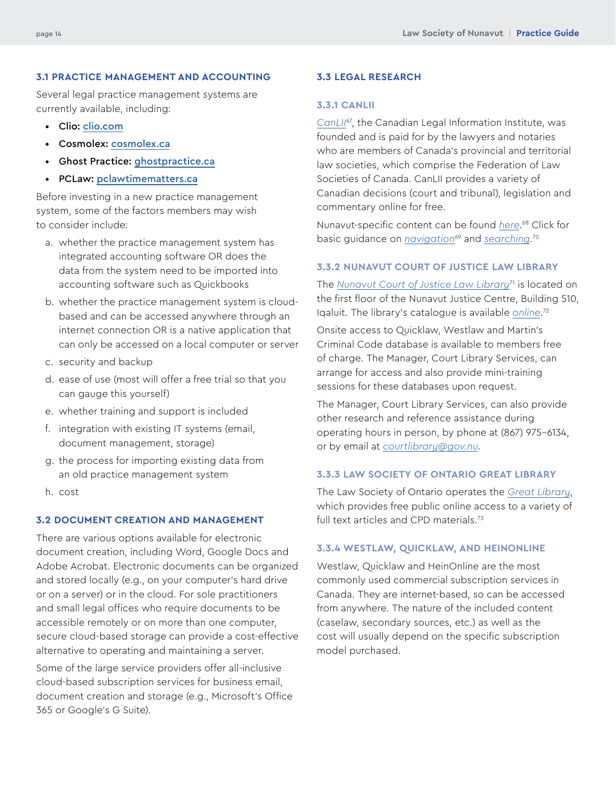<span id="page-15-0"></span>Several legal practice management systems are currently available, including:

- Clio: [clio.com](https://www.clio.com/)
- Cosmolex: [cosmolex.ca](https://www.cosmolex.ca/)
- Ghost Practice: [ghostpractice.ca](https://ghostpractice.ca/)
- PCLaw: [pclawtimematters.ca](https://pclawtimematters.ca/)

Before investing in a new practice management system, some of the factors members may wish to consider include:

- a. whether the practice management system has integrated accounting software OR does the data from the system need to be imported into accounting software such as Quickbooks
- b. whether the practice management system is cloudbased and can be accessed anywhere through an internet connection OR is a native application that can only be accessed on a local computer or server
- c. security and backup
- d. ease of use (most will offer a free trial so that you can gauge this yourself)
- e. whether training and support is included
- f. integration with existing IT systems (email, document management, storage)
- g. the process for importing existing data from an old practice management system
- h. cost

#### **3.2 DOCUMENT CREATION AND MANAGEMENT**

There are various options available for electronic document creation, including Word, Google Docs and Adobe Acrobat. Electronic documents can be organized and stored locally (e.g., on your computer's hard drive or on a server) or in the cloud. For sole practitioners and small legal offices who require documents to be accessible remotely or on more than one computer, secure cloud-based storage can provide a cost-effective alternative to operating and maintaining a server.

Some of the large service providers offer all-inclusive cloud-based subscription services for business email, document creation and storage (e.g., Microsoft's Office 365 or Google's G Suite).

#### **3.3 LEGAL RESEARCH**

#### **3.3.1 CANLII**

*[CanLII](https://www.canlii.org/en/)*67, the Canadian Legal Information Institute, was founded and is paid for by the lawyers and notaries who are members of Canada's provincial and territorial law societies, which comprise the Federation of Law Societies of Canada. CanLII provides a variety of Canadian decisions (court and tribunal), legislation and commentary online for free.

Nunavut-specific content can be found *[here](https://www.canlii.org/en/nu/)*. 68 Click for basic guidance on *[navigation](https://www.canlii.org/en/info/faq.html#nav_search)*<sup>69</sup> and *[searching](https://www.canlii.org/en/info/search.html)*.<sup>70</sup>

#### **3.3.2 NUNAVUT COURT OF JUSTICE LAW LIBRARY**

The *[Nunavut Court of Justice Law Library](http://www.nunavutcourts.ca/index.php/library)*71 is located on the first floor of the Nunavut Justice Centre, Building 510, Iqaluit. The library's catalogue is available *[online](https://17156.rmwebopac.com/?dbNum=1&action=3&Type=B)*. 72

Onsite access to Quicklaw, Westlaw and Martin's Criminal Code database is available to members free of charge. The Manager, Court Library Services, can arrange for access and also provide mini-training sessions for these databases upon request.

The Manager, Court Library Services, can also provide other research and reference assistance during operating hours in person, by phone at (867) 975-6134, or by email at *[courtlibrary@gov.nu](mailto:courtlibrary%40gov.nu?subject=)*.

#### **3.3.3 LAW SOCIETY OF ONTARIO GREAT LIBRARY**

The Law Society of Ontario operates the *[Great Library](https://www.lso.ca/great-library)*, which provides free public online access to a variety of full text articles and CPD materials.<sup>73</sup>

#### **3.3.4 WESTLAW, QUICKLAW, AND HEINONLINE**

Westlaw, Quicklaw and HeinOnline are the most commonly used commercial subscription services in Canada. They are internet-based, so can be accessed from anywhere. The nature of the included content (caselaw, secondary sources, etc.) as well as the cost will usually depend on the specific subscription model purchased.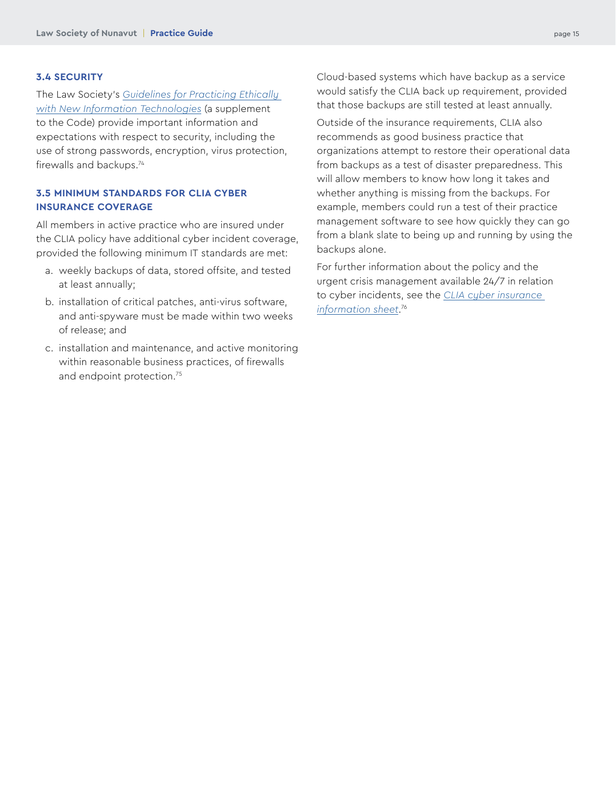#### <span id="page-16-0"></span>**3.4 SECURITY**

The Law Society's *[Guidelines for Practicing Ethically](https://www.lawsociety.nu.ca/sites/default/files/website-general/cba_supplemental.pdf)  [with New Information Technologies](https://www.lawsociety.nu.ca/sites/default/files/website-general/cba_supplemental.pdf)* (a supplement to the Code) provide important information and expectations with respect to security, including the use of strong passwords, encryption, virus protection, firewalls and backups.<sup>74</sup>

#### **3.5 MINIMUM STANDARDS FOR CLIA CYBER INSURANCE COVERAGE**

All members in active practice who are insured under the CLIA policy have additional cyber incident coverage, provided the following minimum IT standards are met:

- a. weekly backups of data, stored offsite, and tested at least annually;
- b. installation of critical patches, anti-virus software, and anti-spyware must be made within two weeks of release; and
- c. installation and maintenance, and active monitoring within reasonable business practices, of firewalls and endpoint protection.<sup>75</sup>

Cloud-based systems which have backup as a service would satisfy the CLIA back up requirement, provided that those backups are still tested at least annually.

Outside of the insurance requirements, CLIA also recommends as good business practice that organizations attempt to restore their operational data from backups as a test of disaster preparedness. This will allow members to know how long it takes and whether anything is missing from the backups. For example, members could run a test of their practice management software to see how quickly they can go from a blank slate to being up and running by using the backups alone.

For further information about the policy and the urgent crisis management available 24/7 in relation to cyber incidents, see the *[CLIA cyber insurance](https://www.lawsociety.nu.ca/sites/default/files/News/Public%20Notices/CLIA%20Cyber%20Insurance%20Summary%20(2020).pdf)  [information sheet](https://www.lawsociety.nu.ca/sites/default/files/News/Public%20Notices/CLIA%20Cyber%20Insurance%20Summary%20(2020).pdf)*. 76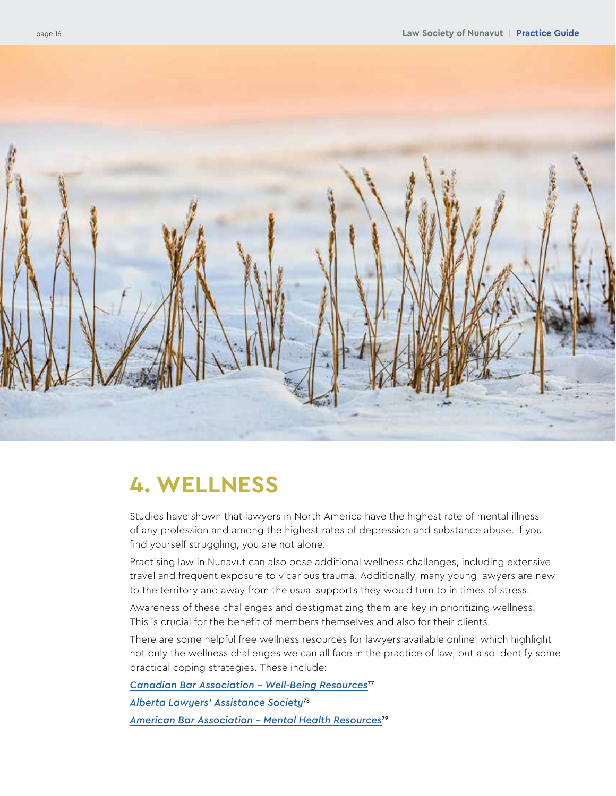<span id="page-17-0"></span>

### **4. WELLNESS**

Studies have shown that lawyers in North America have the highest rate of mental illness of any profession and among the highest rates of depression and substance abuse. If you find yourself struggling, you are not alone.

Practising law in Nunavut can also pose additional wellness challenges, including extensive travel and frequent exposure to vicarious trauma. Additionally, many young lawyers are new to the territory and away from the usual supports they would turn to in times of stress.

Awareness of these challenges and destigmatizing them are key in prioritizing wellness. This is crucial for the benefit of members themselves and also for their clients.

There are some helpful free wellness resources for lawyers available online, which highlight not only the wellness challenges we can all face in the practice of law, but also identify some practical coping strategies. These include:

*[Canadian Bar Association – Well-Being Resources](https://www.cba.org/Sections/Wellness-Subcommittee/Resources)*<sup>77</sup>

*[Alberta Lawyers' Assistance Society](https://lawyersassist.ca/)*<sup>78</sup>

*[American Bar Association – Mental Health Resources](https://www.americanbar.org/groups/lawyer_assistance/resources/covid-19--mental-health-resources)*79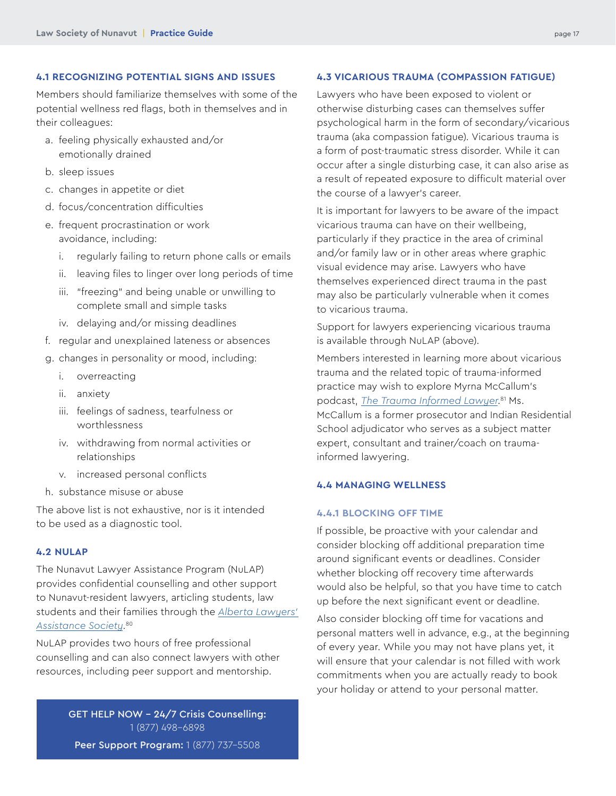#### <span id="page-18-0"></span>**4.1 RECOGNIZING POTENTIAL SIGNS AND ISSUES**

Members should familiarize themselves with some of the potential wellness red flags, both in themselves and in their colleagues:

- a. feeling physically exhausted and/or emotionally drained
- b. sleep issues
- c. changes in appetite or diet
- d. focus/concentration difficulties
- e. frequent procrastination or work avoidance, including:
	- i. regularly failing to return phone calls or emails
	- ii. leaving files to linger over long periods of time
	- iii. "freezing" and being unable or unwilling to complete small and simple tasks
	- iv. delaying and/or missing deadlines
- f. regular and unexplained lateness or absences
- g. changes in personality or mood, including:
	- i. overreacting
	- ii. anxiety
	- iii. feelings of sadness, tearfulness or worthlessness
	- iv. withdrawing from normal activities or relationships
	- v. increased personal conflicts
- h. substance misuse or abuse

The above list is not exhaustive, nor is it intended to be used as a diagnostic tool.

#### **4.2 NULAP**

The Nunavut Lawyer Assistance Program (NuLAP) provides confidential counselling and other support to Nunavut-resident lawyers, articling students, law students and their families through the *[Alberta Lawyers'](https://lawyersassist.ca/)  [Assistance Society](https://lawyersassist.ca/)*. 80

NuLAP provides two hours of free professional counselling and can also connect lawyers with other resources, including peer support and mentorship.

> GET HELP NOW – 24/7 Crisis Counselling: 1 (877) 498-6898 Peer Support Program: 1 (877) 737-5508

#### **4.3 VICARIOUS TRAUMA (COMPASSION FATIGUE)**

Lawyers who have been exposed to violent or otherwise disturbing cases can themselves suffer psychological harm in the form of secondary/vicarious trauma (aka compassion fatigue). Vicarious trauma is a form of post-traumatic stress disorder. While it can occur after a single disturbing case, it can also arise as a result of repeated exposure to difficult material over the course of a lawyer's career.

It is important for lawyers to be aware of the impact vicarious trauma can have on their wellbeing, particularly if they practice in the area of criminal and/or family law or in other areas where graphic visual evidence may arise. Lawyers who have themselves experienced direct trauma in the past may also be particularly vulnerable when it comes to vicarious trauma.

Support for lawyers experiencing vicarious trauma is available through NuLAP (above).

Members interested in learning more about vicarious trauma and the related topic of trauma-informed practice may wish to explore Myrna McCallum's podcast, *The [Trauma Informed Lawyer](https://thetraumainformedlawyer.simplecast.com/)*. 81 Ms. McCallum is a former prosecutor and Indian Residential School adjudicator who serves as a subject matter expert, consultant and trainer/coach on traumainformed lawyering.

#### **4.4 MANAGING WELLNESS**

#### **4.4.1 BLOCKING OFF TIME**

If possible, be proactive with your calendar and consider blocking off additional preparation time around significant events or deadlines. Consider whether blocking off recovery time afterwards would also be helpful, so that you have time to catch up before the next significant event or deadline.

Also consider blocking off time for vacations and personal matters well in advance, e.g., at the beginning of every year. While you may not have plans yet, it will ensure that your calendar is not filled with work commitments when you are actually ready to book your holiday or attend to your personal matter.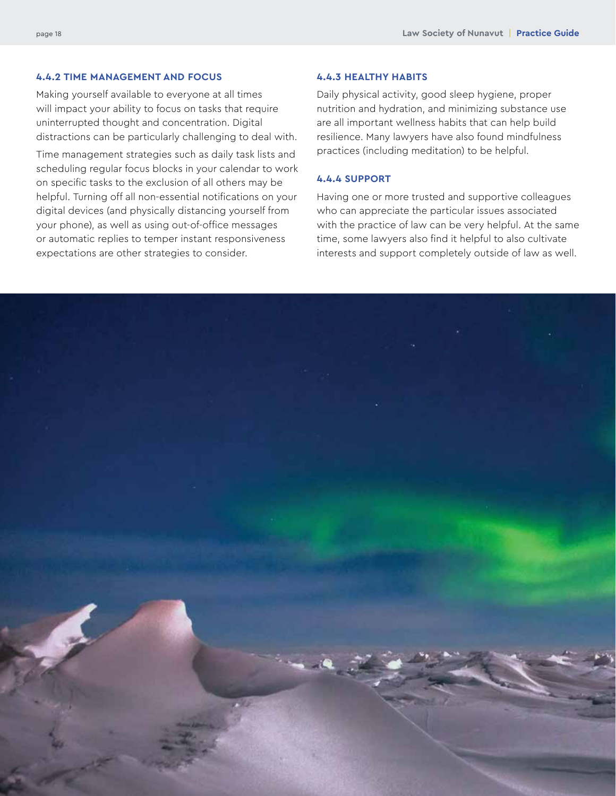<span id="page-19-0"></span>Making yourself available to everyone at all times will impact your ability to focus on tasks that require uninterrupted thought and concentration. Digital distractions can be particularly challenging to deal with.

Time management strategies such as daily task lists and scheduling regular focus blocks in your calendar to work on specific tasks to the exclusion of all others may be helpful. Turning off all non-essential notifications on your digital devices (and physically distancing yourself from your phone), as well as using out-of-office messages or automatic replies to temper instant responsiveness expectations are other strategies to consider.

#### **4.4.3 HEALTHY HABITS**

Daily physical activity, good sleep hygiene, proper nutrition and hydration, and minimizing substance use are all important wellness habits that can help build resilience. Many lawyers have also found mindfulness practices (including meditation) to be helpful.

#### **4.4.4 SUPPORT**

Having one or more trusted and supportive colleagues who can appreciate the particular issues associated with the practice of law can be very helpful. At the same time, some lawyers also find it helpful to also cultivate interests and support completely outside of law as well.

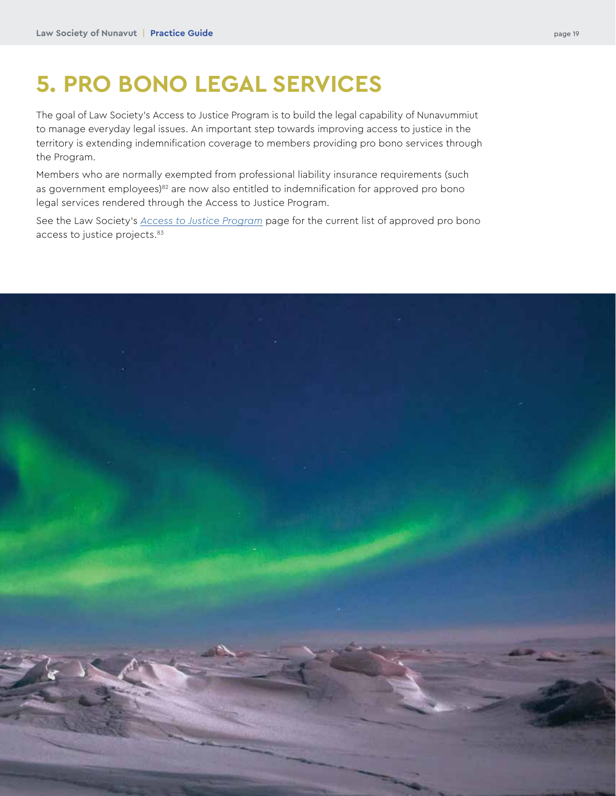### <span id="page-20-0"></span>**5. PRO BONO LEGAL SERVICES**

The goal of Law Society's Access to Justice Program is to build the legal capability of Nunavummiut to manage everyday legal issues. An important step towards improving access to justice in the territory is extending indemnification coverage to members providing pro bono services through the Program.

Members who are normally exempted from professional liability insurance requirements (such as government employees) $82$  are now also entitled to indemnification for approved pro bono legal services rendered through the Access to Justice Program.

See the Law Society's *[Access to Justice Program](https://www.lawsociety.nu.ca/en/access-justice-program)* page for the current list of approved pro bono access to justice projects.<sup>83</sup>

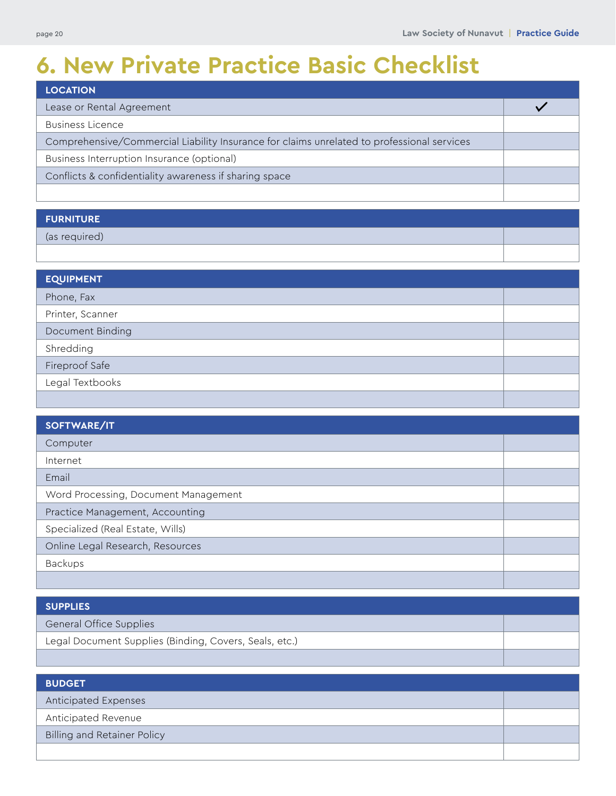## <span id="page-21-0"></span>**6. New Private Practice Basic Checklist**

| <b>LOCATION</b>                                                                            |  |
|--------------------------------------------------------------------------------------------|--|
| Lease or Rental Agreement                                                                  |  |
| Business Licence                                                                           |  |
| Comprehensive/Commercial Liability Insurance for claims unrelated to professional services |  |
| Business Interruption Insurance (optional)                                                 |  |
| Conflicts & confidentiality awareness if sharing space                                     |  |
|                                                                                            |  |

| <b>FURNITURE</b> |  |
|------------------|--|
| (as required)    |  |
|                  |  |

| <b>EQUIPMENT</b> |  |
|------------------|--|
| Phone, Fax       |  |
| Printer, Scanner |  |
| Document Binding |  |
| Shredding        |  |
| Fireproof Safe   |  |
| Legal Textbooks  |  |
|                  |  |

| SOFTWARE/IT                          |  |
|--------------------------------------|--|
| Computer                             |  |
| Internet                             |  |
| Email                                |  |
| Word Processing, Document Management |  |
| Practice Management, Accounting      |  |
| Specialized (Real Estate, Wills)     |  |
| Online Legal Research, Resources     |  |
| Backups                              |  |
|                                      |  |

| <b>SUPPLIES</b>                                        |  |
|--------------------------------------------------------|--|
| <b>General Office Supplies</b>                         |  |
| Legal Document Supplies (Binding, Covers, Seals, etc.) |  |
|                                                        |  |

| <b>BUDGET</b>               |  |
|-----------------------------|--|
| Anticipated Expenses        |  |
| Anticipated Revenue         |  |
| Billing and Retainer Policy |  |
|                             |  |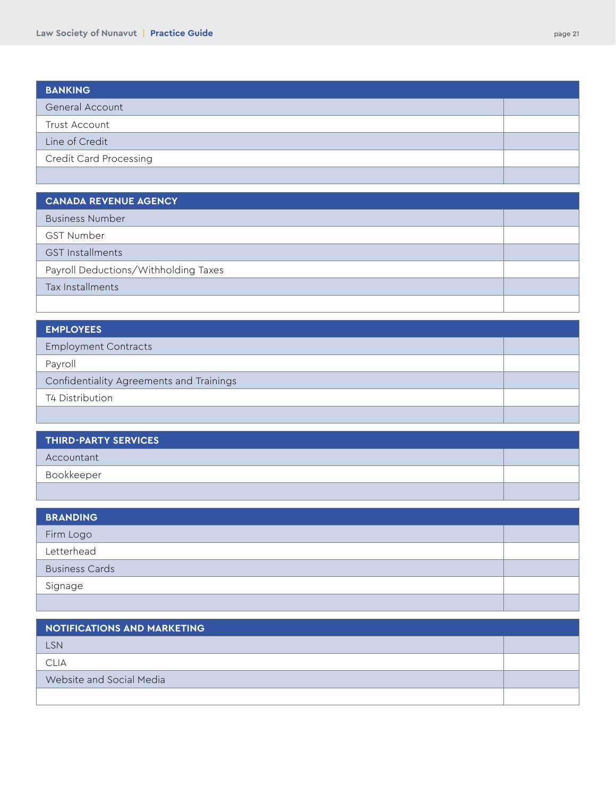| <b>BANKING</b>                |  |
|-------------------------------|--|
| General Account               |  |
| Trust Account                 |  |
| Line of Credit                |  |
| <b>Credit Card Processing</b> |  |
|                               |  |

| <b>CANADA REVENUE AGENCY</b>         |  |
|--------------------------------------|--|
| <b>Business Number</b>               |  |
| <b>GST Number</b>                    |  |
| <b>GST Installments</b>              |  |
| Payroll Deductions/Withholding Taxes |  |
| Tax Installments                     |  |
|                                      |  |

| <b>EMPLOYEES</b>                         |  |
|------------------------------------------|--|
| <b>Employment Contracts</b>              |  |
| Payroll                                  |  |
| Confidentiality Agreements and Trainings |  |
| T4 Distribution                          |  |
|                                          |  |

| <b>THIRD-PARTY SERVICES</b> |  |
|-----------------------------|--|
| Accountant                  |  |
| Bookkeeper                  |  |
|                             |  |

| <b>BRANDING</b>       |  |
|-----------------------|--|
| Firm Logo             |  |
| Letterhead            |  |
| <b>Business Cards</b> |  |
| Signage               |  |
|                       |  |

| NOTIFICATIONS AND MARKETING |  |
|-----------------------------|--|
| LSN                         |  |
| CLIA                        |  |
| Website and Social Media    |  |
|                             |  |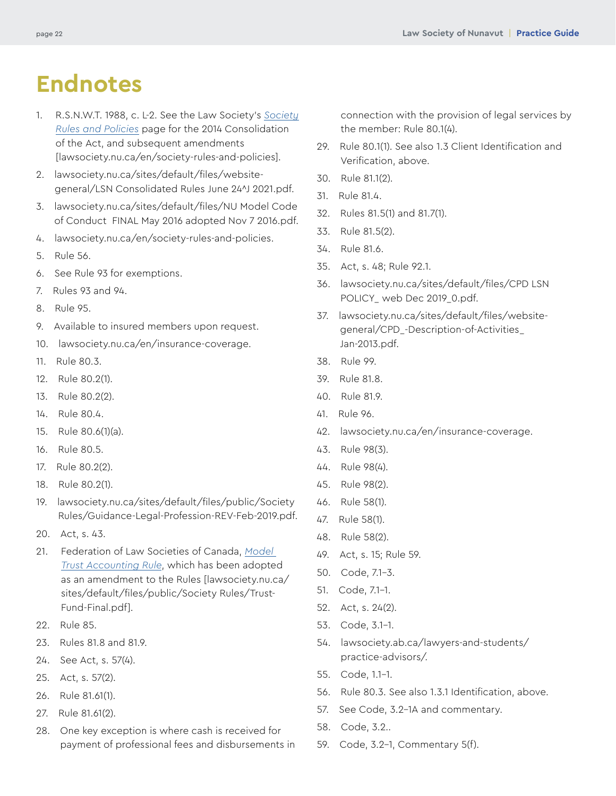- <span id="page-23-0"></span>1. R.S.N.W.T. 1988, c. L-2. See the Law Society's *[Society](https://www.lawsociety.nu.ca/en/society-rules-and-policies)  [Rules and Policies](https://www.lawsociety.nu.ca/en/society-rules-and-policies)* page for the 2014 Consolidation of the Act, and subsequent amendments [lawsociety.nu.ca/en/society-rules-and-policies].
- 2. lawsociety.nu.ca/sites/default/files/websitegeneral/LSN Consolidated Rules June 24^J 2021.pdf.
- 3. lawsociety.nu.ca/sites/default/files/NU Model Code of Conduct FINAL May 2016 adopted Nov 7 2016.pdf.
- 4. lawsociety.nu.ca/en/society-rules-and-policies.
- 5. Rule 56.
- 6. See Rule 93 for exemptions.
- 7. Rules 93 and 94.
- 8. Rule 95.
- 9. Available to insured members upon request.
- 10. lawsociety.nu.ca/en/insurance-coverage.
- 11. Rule 80.3.
- 12. Rule 80.2(1).
- 13. Rule 80.2(2).
- 14. Rule 80.4.
- 15. Rule 80.6(1)(a).
- 16. Rule 80.5.
- 17. Rule 80.2(2).
- 18. Rule 80.2(1).
- 19. lawsociety.nu.ca/sites/default/files/public/Society Rules/Guidance-Legal-Profession-REV-Feb-2019.pdf.
- 20. Act, s. 43.
- 21. Federation of Law Societies of Canada, *[Model](https://www.lawsociety.nu.ca/sites/default/files/public/Society%20Rules/Trust-Fund-Final.pdf)  [Trust Accounting Rule](https://www.lawsociety.nu.ca/sites/default/files/public/Society%20Rules/Trust-Fund-Final.pdf)*, which has been adopted as an amendment to the Rules [lawsociety.nu.ca/ sites/default/files/public/Society Rules/Trust-Fund-Final.pdf].
- 22. Rule 85.
- 23. Rules 81.8 and 81.9.
- 24. See Act, s. 57(4).
- 25. Act, s. 57(2).
- 26. Rule 81.61(1).
- 27. Rule 81.61(2).
- 28. One key exception is where cash is received for payment of professional fees and disbursements in

connection with the provision of legal services by the member: Rule 80.1(4).

- 29. Rule 80.1(1). See also 1.3 Client Identification and Verification, above.
- 30. Rule 81.1(2).
- 31. Rule 81.4.
- 32. Rules 81.5(1) and 81.7(1).
- 33. Rule 81.5(2).
- 34. Rule 81.6.
- 35. Act, s. 48; Rule 92.1.
- 36. lawsociety.nu.ca/sites/default/files/CPD LSN POLICY\_ web Dec 2019\_0.pdf.
- 37. lawsociety.nu.ca/sites/default/files/websitegeneral/CPD\_-Description-of-Activities\_ Jan-2013.pdf.
- 38. Rule 99.
- 39. Rule 81.8.
- 40. Rule 81.9.
- 41. Rule 96.
- 42. lawsociety.nu.ca/en/insurance-coverage.
- 43. Rule 98(3).
- 44. Rule 98(4).
- 45. Rule 98(2).
- 46. Rule 58(1).
- 47. Rule 58(1).
- 48. Rule 58(2).
- 49. Act, s. 15; Rule 59.
- 50. Code, 7.1-3.
- 51. Code, 7.1-1.
- 52. Act, s. 24(2).
- 53. Code, 3.1-1.
- 54. lawsociety.ab.ca/lawyers-and-students/ practice-advisors/.
- 55. Code, 1.1-1.
- 56. Rule 80.3. See also 1.3.1 Identification, above.
- 57. See Code, 3.2-1A and commentary.
- 58. Code, 3.2..
- 59. Code, 3.2-1, Commentary 5(f).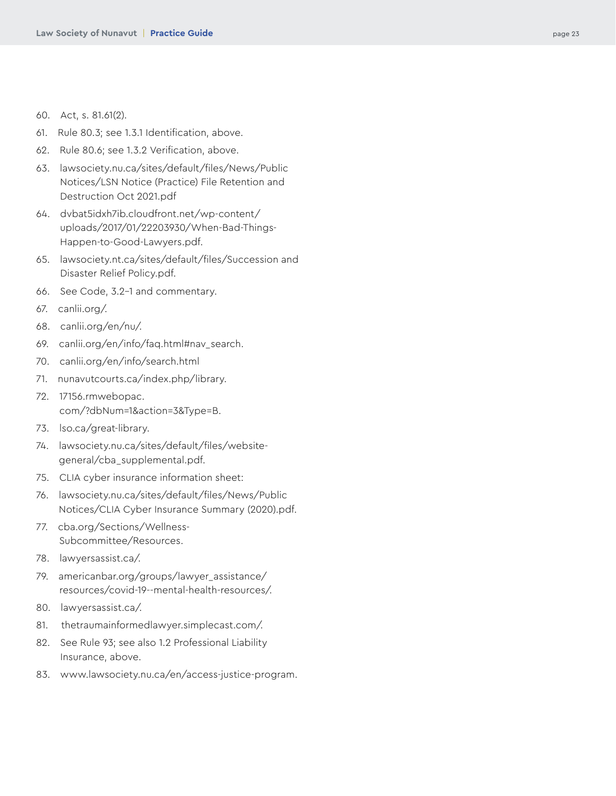- 60. Act, s. 81.61(2).
- 61. Rule 80.3; see 1.3.1 Identification, above.
- 62. Rule 80.6; see 1.3.2 Verification, above.
- 63. lawsociety.nu.ca/sites/default/files/News/Public Notices/LSN Notice (Practice) File Retention and Destruction Oct 2021.pdf
- 64. dvbat5idxh7ib.cloudfront.net/wp-content/ uploads/2017/01/22203930/When-Bad-Things-Happen-to-Good-Lawyers.pdf.
- 65. lawsociety.nt.ca/sites/default/files/Succession and Disaster Relief Policy.pdf.
- 66. See Code, 3.2-1 and commentary.
- 67. canlii.org/.
- 68. canlii.org/en/nu/.
- 69. canlii.org/en/info/faq.html#nav\_search.
- 70. canlii.org/en/info/search.html
- 71. nunavutcourts.ca/index.php/library.
- 72. 17156.rmwebopac. com/?dbNum=1&action=3&Type=B.
- 73. lso.ca/great-library.
- 74. lawsociety.nu.ca/sites/default/files/websitegeneral/cba\_supplemental.pdf.
- 75. CLIA cyber insurance information sheet:
- 76. lawsociety.nu.ca/sites/default/files/News/Public Notices/CLIA Cyber Insurance Summary (2020).pdf.
- 77. cba.org/Sections/Wellness-Subcommittee/Resources.
- 78. lawyersassist.ca/.
- 79. americanbar.org/groups/lawyer\_assistance/ resources/covid-19--mental-health-resources/.
- 80. lawyersassist.ca/.
- 81. thetraumainformedlawyer.simplecast.com/.
- 82. See Rule 93; see also 1.2 Professional Liability Insurance, above.
- 83. www.lawsociety.nu.ca/en/access-justice-program.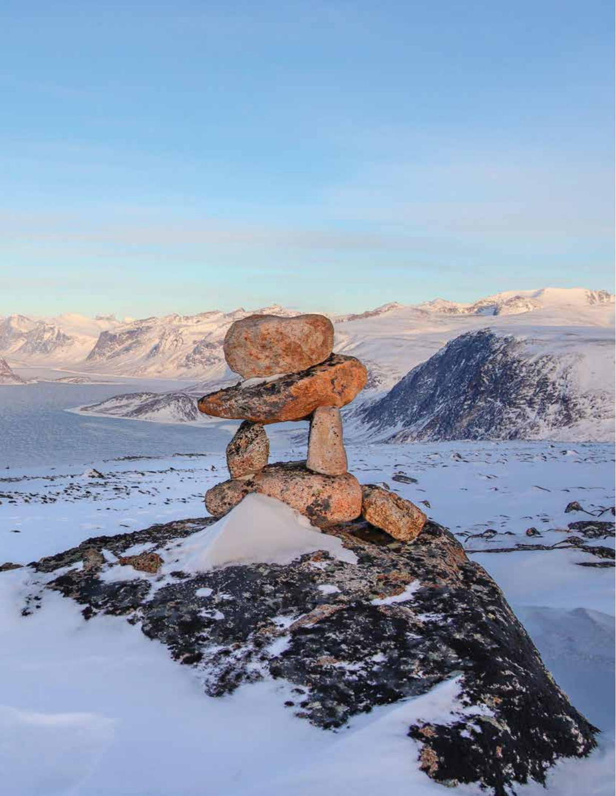